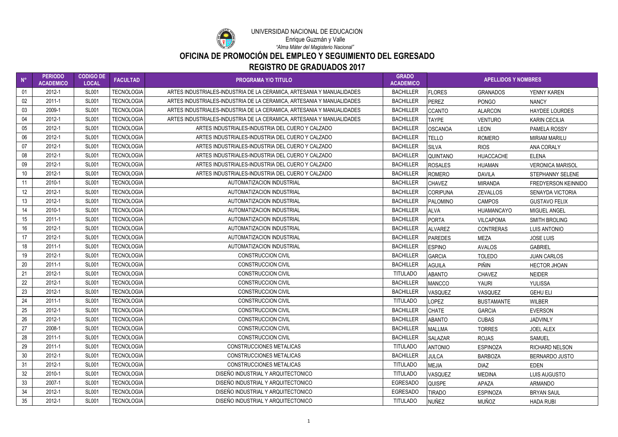| $N^{\circ}$      | <b>PERIODO</b><br><b>ACADEMICO</b> | <b>CODIGO DE</b><br><b>LOCAL</b> | <b>FACULTAD</b>   | <b>PROGRAMA Y/O TITULO</b>                                            | <b>GRADO</b><br><b>ACADEMICO</b> | <b>APELLIDOS Y NOMBRES</b> |                   |                            |
|------------------|------------------------------------|----------------------------------|-------------------|-----------------------------------------------------------------------|----------------------------------|----------------------------|-------------------|----------------------------|
| 01               | 2012-1                             | <b>SL001</b>                     | <b>TECNOLOGIA</b> | ARTES INDUSTRIALES-INDUSTRIA DE LA CERAMICA, ARTESANIA Y MANUALIDADES | <b>BACHILLER</b>                 | <b>FLORES</b>              | <b>GRANADOS</b>   | YENNY KAREN                |
| 02               | $2011 - 1$                         | <b>SL001</b>                     | <b>TECNOLOGIA</b> | ARTES INDUSTRIALES-INDUSTRIA DE LA CERAMICA, ARTESANIA Y MANUALIDADES | <b>BACHILLER</b>                 | PEREZ                      | <b>PONGO</b>      | <b>NANCY</b>               |
| 03               | 2009-1                             | <b>SL001</b>                     | <b>TECNOLOGIA</b> | ARTES INDUSTRIALES-INDUSTRIA DE LA CERAMICA, ARTESANIA Y MANUALIDADES | <b>BACHILLER</b>                 | CCANTO                     | <b>ALARCON</b>    | <b>HAYDEE LOURDES</b>      |
| 04               | 2012-1                             | <b>SL001</b>                     | <b>TECNOLOGIA</b> | ARTES INDUSTRIALES-INDUSTRIA DE LA CERAMICA, ARTESANIA Y MANUALIDADES | <b>BACHILLER</b>                 | <b>TAYPE</b>               | <b>VENTURO</b>    | <b>KARIN CECILIA</b>       |
| 05               | 2012-1                             | <b>SL001</b>                     | <b>TECNOLOGIA</b> | ARTES INDUSTRIALES-INDUSTRIA DEL CUERO Y CALZADO                      | <b>BACHILLER</b>                 | <b>OSCANOA</b>             | <b>LEON</b>       | PAMELA ROSSY               |
| 06               | 2012-1                             | <b>SL001</b>                     | <b>TECNOLOGIA</b> | ARTES INDUSTRIALES-INDUSTRIA DEL CUERO Y CALZADO                      | <b>BACHILLER</b>                 | <b>TELLO</b>               | <b>ROMERO</b>     | <b>MIRIAM MARILU</b>       |
| 07               | 2012-1                             | <b>SL001</b>                     | <b>TECNOLOGIA</b> | ARTES INDUSTRIALES-INDUSTRIA DEL CUERO Y CALZADO                      | <b>BACHILLER</b>                 | <b>SILVA</b>               | <b>RIOS</b>       | ANA CORALY                 |
| 08               | 2012-1                             | <b>SL001</b>                     | <b>TECNOLOGIA</b> | ARTES INDUSTRIALES-INDUSTRIA DEL CUERO Y CALZADO                      | <b>BACHILLER</b>                 | <b>QUINTANO</b>            | <b>HUACCACHE</b>  | <b>ELENA</b>               |
| 09               | 2012-1                             | <b>SL001</b>                     | <b>TECNOLOGIA</b> | ARTES INDUSTRIALES-INDUSTRIA DEL CUERO Y CALZADO                      | <b>BACHILLER</b>                 | <b>ROSALES</b>             | <b>HUAMAN</b>     | <b>VERONICA MARISOL</b>    |
| 10 <sup>°</sup>  | 2012-1                             | <b>SL001</b>                     | <b>TECNOLOGIA</b> | ARTES INDUSTRIALES-INDUSTRIA DEL CUERO Y CALZADO                      | <b>BACHILLER</b>                 | <b>ROMERO</b>              | <b>DAVILA</b>     | STEPHANNY SELENE           |
| 11               | 2010-1                             | <b>SL001</b>                     | <b>TECNOLOGIA</b> | AUTOMATIZACION INDUSTRIAL                                             | <b>BACHILLER</b>                 | <b>CHAVEZ</b>              | <b>MIRANDA</b>    | <b>FREDYERSON KEINNIDO</b> |
| 12               | 2012-1                             | <b>SL001</b>                     | <b>TECNOLOGIA</b> | AUTOMATIZACION INDUSTRIAL                                             | <b>BACHILLER</b>                 | <b>CORIPUNA</b>            | <b>ZEVALLOS</b>   | <b>SENAYDA VICTORIA</b>    |
| 13               | 2012-1                             | <b>SL001</b>                     | <b>TECNOLOGIA</b> | AUTOMATIZACION INDUSTRIAL                                             | <b>BACHILLER</b>                 | <b>PALOMINO</b>            | <b>CAMPOS</b>     | <b>GUSTAVO FELIX</b>       |
| 14               | 2010-1                             | <b>SL001</b>                     | <b>TECNOLOGIA</b> | AUTOMATIZACION INDUSTRIAL                                             | <b>BACHILLER</b>                 | <b>ALVA</b>                | <b>HUAMANCAYO</b> | MIGUEL ANGEL               |
| 15 <sub>15</sub> | 2011-1                             | <b>SL001</b>                     | <b>TECNOLOGIA</b> | AUTOMATIZACION INDUSTRIAL                                             | <b>BACHILLER</b>                 | PORTA                      | <b>VILCAPOMA</b>  | <b>SMITH BROLING</b>       |
| 16               | 2012-1                             | <b>SL001</b>                     | <b>TECNOLOGIA</b> | AUTOMATIZACION INDUSTRIAL                                             | <b>BACHILLER</b>                 | <b>ALVAREZ</b>             | <b>CONTRERAS</b>  | <b>LUIS ANTONIO</b>        |
| 17               | 2012-1                             | <b>SL001</b>                     | <b>TECNOLOGIA</b> | AUTOMATIZACION INDUSTRIAL                                             | <b>BACHILLER</b>                 | <b>PAREDES</b>             | <b>MEZA</b>       | <b>JOSE LUIS</b>           |
| 18               | $2011 - 1$                         | <b>SL001</b>                     | <b>TECNOLOGIA</b> | AUTOMATIZACION INDUSTRIAL                                             | <b>BACHILLER</b>                 | <b>ESPINO</b>              | <b>AVALOS</b>     | <b>GABRIEL</b>             |
| 19               | 2012-1                             | <b>SL001</b>                     | <b>TECNOLOGIA</b> | <b>CONSTRUCCION CIVIL</b>                                             | <b>BACHILLER</b>                 | GARCIA                     | <b>TOLEDO</b>     | <b>JUAN CARLOS</b>         |
| 20               | 2011-1                             | <b>SL001</b>                     | <b>TECNOLOGIA</b> | <b>CONSTRUCCION CIVIL</b>                                             | <b>BACHILLER</b>                 | <b>AGUILA</b>              | <b>PIÑIN</b>      | <b>HECTOR JHOAN</b>        |
| 21               | 2012-1                             | <b>SL001</b>                     | <b>TECNOLOGIA</b> | <b>CONSTRUCCION CIVIL</b>                                             | <b>TITULADO</b>                  | <b>ABANTO</b>              | <b>CHAVEZ</b>     | <b>NEIDER</b>              |
| 22               | 2012-1                             | <b>SL001</b>                     | <b>TECNOLOGIA</b> | <b>CONSTRUCCION CIVIL</b>                                             | <b>BACHILLER</b>                 | <b>MANCCO</b>              | YAURI             | <b>YULISSA</b>             |
| 23               | 2012-1                             | <b>SL001</b>                     | <b>TECNOLOGIA</b> | <b>CONSTRUCCION CIVIL</b>                                             | <b>BACHILLER</b>                 | VASQUEZ                    | VASQUEZ           | <b>GEHU ELI</b>            |
| 24               | 2011-1                             | <b>SL001</b>                     | <b>TECNOLOGIA</b> | <b>CONSTRUCCION CIVIL</b>                                             | <b>TITULADO</b>                  | <b>LOPEZ</b>               | <b>BUSTAMANTE</b> | <b>WILBER</b>              |
| 25               | 2012-1                             | <b>SL001</b>                     | <b>TECNOLOGIA</b> | <b>CONSTRUCCION CIVIL</b>                                             | <b>BACHILLER</b>                 | <b>CHATE</b>               | <b>GARCIA</b>     | <b>EVERSON</b>             |
| 26               | 2012-1                             | <b>SL001</b>                     | <b>TECNOLOGIA</b> | <b>CONSTRUCCION CIVIL</b>                                             | <b>BACHILLER</b>                 | <b>ABANTO</b>              | <b>CUBAS</b>      | <b>JADVINLY</b>            |
| 27               | 2008-1                             | <b>SL001</b>                     | <b>TECNOLOGIA</b> | <b>CONSTRUCCION CIVIL</b>                                             | <b>BACHILLER</b>                 | <b>MALLMA</b>              | <b>TORRES</b>     | <b>JOEL ALEX</b>           |
| 28               | $2011 - 1$                         | <b>SL001</b>                     | <b>TECNOLOGIA</b> | <b>CONSTRUCCION CIVIL</b>                                             | <b>BACHILLER</b>                 | <b>SALAZAR</b>             | <b>ROJAS</b>      | <b>SAMUEL</b>              |
| 29               | $2011 - 1$                         | <b>SL001</b>                     | <b>TECNOLOGIA</b> | <b>CONSTRUCCIONES METALICAS</b>                                       | <b>TITULADO</b>                  | <b>ANTONIO</b>             | <b>ESPINOZA</b>   | <b>RICHARD NELSON</b>      |
| 30 <sup>°</sup>  | 2012-1                             | <b>SL001</b>                     | <b>TECNOLOGIA</b> | <b>CONSTRUCCIONES METALICAS</b>                                       | <b>BACHILLER</b>                 | <b>JULCA</b>               | <b>BARBOZA</b>    | BERNARDO JUSTO             |
| 31               | 2012-1                             | <b>SL001</b>                     | <b>TECNOLOGIA</b> | <b>CONSTRUCCIONES METALICAS</b>                                       | <b>TITULADO</b>                  | <b>MEJIA</b>               | <b>DIAZ</b>       | <b>EDEN</b>                |
| 32               | 2010-1                             | <b>SL001</b>                     | <b>TECNOLOGIA</b> | DISEÑO INDUSTRIAL Y ARQUITECTONICO                                    | <b>TITULADO</b>                  | VASQUEZ                    | <b>MEDINA</b>     | LUIS AUGUSTO               |
| 33               | 2007-1                             | <b>SL001</b>                     | <b>TECNOLOGIA</b> | DISEÑO INDUSTRIAL Y ARQUITECTONICO                                    | <b>EGRESADO</b>                  | <b>QUISPE</b>              | APAZA             | <b>ARMANDO</b>             |
| 34               | 2012-1                             | <b>SL001</b>                     | <b>TECNOLOGIA</b> | DISEÑO INDUSTRIAL Y ARQUITECTONICO                                    | <b>EGRESADO</b>                  | <b>TIRADO</b>              | <b>ESPINOZA</b>   | <b>BRYAN SAUL</b>          |
| 35               | 2012-1                             | <b>SL001</b>                     | <b>TECNOLOGIA</b> | DISEÑO INDUSTRIAL Y ARQUITECTONICO                                    | <b>TITULADO</b>                  | NUÑEZ                      | MUÑOZ             | <b>HADA RUBI</b>           |



## UNIVERSIDAD NACIONAL DE EDUCACIÓN Enrique Guzmán y Valle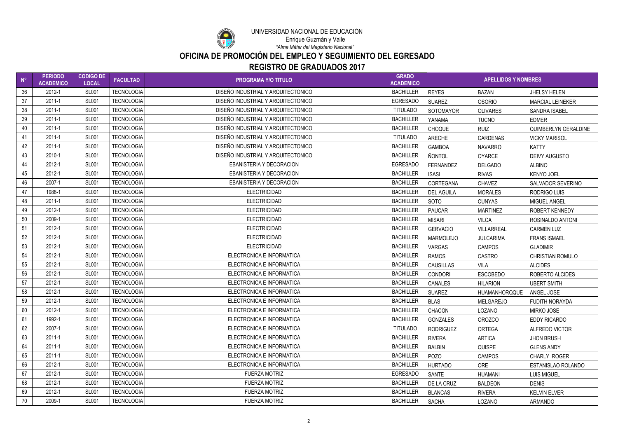

### UNIVERSIDAD NACIONAL DE EDUCACIÓN Enrique Guzmán y Valle

| $N^{\circ}$ | <b>PERIODO</b><br><b>ACADEMICO</b> | <b>CODIGO DE</b><br><b>LOCAL</b> | <b>FACULTAD</b>   | <b>PROGRAMA Y/O TITULO</b>         | <b>GRADO</b><br><b>ACADEMICO</b> |                   | <b>APELLIDOS Y NOMBRES</b> |                         |
|-------------|------------------------------------|----------------------------------|-------------------|------------------------------------|----------------------------------|-------------------|----------------------------|-------------------------|
| 36          | 2012-1                             | <b>SL001</b>                     | <b>TECNOLOGIA</b> | DISEÑO INDUSTRIAL Y ARQUITECTONICO | <b>BACHILLER</b>                 | <b>REYES</b>      | <b>BAZAN</b>               | <b>JHELSY HELEN</b>     |
| 37          | $2011 - 1$                         | <b>SL001</b>                     | <b>TECNOLOGIA</b> | DISEÑO INDUSTRIAL Y ARQUITECTONICO | <b>EGRESADO</b>                  | <b>SUAREZ</b>     | <b>OSORIO</b>              | <b>MARCIAL LEINEKER</b> |
| 38          | $2011 - 1$                         | <b>SL001</b>                     | <b>TECNOLOGIA</b> | DISEÑO INDUSTRIAL Y ARQUITECTONICO | <b>TITULADO</b>                  | <b>SOTOMAYOR</b>  | <b>OLIVARES</b>            | <b>SANDRA ISABEL</b>    |
| 39          | 2011-1                             | <b>SL001</b>                     | <b>TECNOLOGIA</b> | DISEÑO INDUSTRIAL Y ARQUITECTONICO | <b>BACHILLER</b>                 | YANAMA            | <b>TUCNO</b>               | <b>EDMER</b>            |
| 40          | 2011-1                             | <b>SL001</b>                     | <b>TECNOLOGIA</b> | DISEÑO INDUSTRIAL Y ARQUITECTONICO | <b>BACHILLER</b>                 | <b>CHOQUE</b>     | <b>RUIZ</b>                | QUIMBERLYN GERALDINE    |
| 41          | 2011-1                             | <b>SL001</b>                     | <b>TECNOLOGIA</b> | DISEÑO INDUSTRIAL Y ARQUITECTONICO | <b>TITULADO</b>                  | <b>ARECHE</b>     | <b>CARDENAS</b>            | <b>VICKY MARISOL</b>    |
| 42          | 2011-1                             | <b>SL001</b>                     | <b>TECNOLOGIA</b> | DISEÑO INDUSTRIAL Y ARQUITECTONICO | <b>BACHILLER</b>                 | <b>GAMBOA</b>     | <b>NAVARRO</b>             | <b>KATTY</b>            |
| 43          | 2010-1                             | <b>SL001</b>                     | <b>TECNOLOGIA</b> | DISEÑO INDUSTRIAL Y ARQUITECTONICO | <b>BACHILLER</b>                 | <b>ÑONTOL</b>     | <b>OYARCE</b>              | <b>DEIVY AUGUSTO</b>    |
| 44          | 2012-1                             | <b>SL001</b>                     | <b>TECNOLOGIA</b> | EBANISTERIA Y DECORACION           | <b>EGRESADO</b>                  | <b>FERNANDEZ</b>  | <b>DELGADO</b>             | <b>ALBINO</b>           |
| 45          | 2012-1                             | <b>SL001</b>                     | <b>TECNOLOGIA</b> | <b>EBANISTERIA Y DECORACION</b>    | <b>BACHILLER</b>                 | <b>ISASI</b>      | <b>RIVAS</b>               | <b>KENYO JOEL</b>       |
| 46          | 2007-1                             | <b>SL001</b>                     | <b>TECNOLOGIA</b> | <b>EBANISTERIA Y DECORACION</b>    | <b>BACHILLER</b>                 | <b>CORTEGANA</b>  | <b>CHAVEZ</b>              | SALVADOR SEVERINO       |
| 47          | 1988-1                             | <b>SL001</b>                     | <b>TECNOLOGIA</b> | <b>ELECTRICIDAD</b>                | <b>BACHILLER</b>                 | <b>DEL AGUILA</b> | <b>MORALES</b>             | RODRIGO LUIS            |
| 48          | 2011-1                             | <b>SL001</b>                     | <b>TECNOLOGIA</b> | <b>ELECTRICIDAD</b>                | <b>BACHILLER</b>                 | <b>SOTO</b>       | <b>CUNYAS</b>              | <b>MIGUEL ANGEL</b>     |
| 49          | 2012-1                             | <b>SL001</b>                     | <b>TECNOLOGIA</b> | <b>ELECTRICIDAD</b>                | <b>BACHILLER</b>                 | <b>PAUCAR</b>     | <b>MARTINEZ</b>            | ROBERT KENNEDY          |
| 50          | 2009-1                             | <b>SL001</b>                     | <b>TECNOLOGIA</b> | <b>ELECTRICIDAD</b>                | <b>BACHILLER</b>                 | <b>MISARI</b>     | <b>VILCA</b>               | ROSINALDO ANTONI        |
| 51          | 2012-1                             | <b>SL001</b>                     | <b>TECNOLOGIA</b> | <b>ELECTRICIDAD</b>                | <b>BACHILLER</b>                 | <b>GERVACIO</b>   | <b>VILLARREAL</b>          | <b>CARMEN LUZ</b>       |
| 52          | 2012-1                             | <b>SL001</b>                     | <b>TECNOLOGIA</b> | <b>ELECTRICIDAD</b>                | <b>BACHILLER</b>                 | <b>MARMOLEJO</b>  | <b>JULCARIMA</b>           | <b>FRANS ISMAEL</b>     |
| 53          | 2012-1                             | <b>SL001</b>                     | <b>TECNOLOGIA</b> | <b>ELECTRICIDAD</b>                | <b>BACHILLER</b>                 | <b>VARGAS</b>     | <b>CAMPOS</b>              | <b>GLADIMIR</b>         |
| 54          | 2012-1                             | <b>SL001</b>                     | <b>TECNOLOGIA</b> | ELECTRONICA E INFORMATICA          | <b>BACHILLER</b>                 | <b>RAMOS</b>      | <b>CASTRO</b>              | <b>CHRISTIAN ROMULO</b> |
| 55          | 2012-1                             | <b>SL001</b>                     | <b>TECNOLOGIA</b> | ELECTRONICA E INFORMATICA          | <b>BACHILLER</b>                 | <b>CAUSILLAS</b>  | <b>VILA</b>                | <b>ALCIDES</b>          |
| 56          | 2012-1                             | <b>SL001</b>                     | <b>TECNOLOGIA</b> | ELECTRONICA E INFORMATICA          | <b>BACHILLER</b>                 | <b>CONDORI</b>    | <b>ESCOBEDO</b>            | ROBERTO ALCIDES         |
| 57          | 2012-1                             | <b>SL001</b>                     | <b>TECNOLOGIA</b> | ELECTRONICA E INFORMATICA          | <b>BACHILLER</b>                 | <b>CANALES</b>    | <b>HILARION</b>            | <b>UBERT SMITH</b>      |
| 58          | 2012-1                             | <b>SL001</b>                     | <b>TECNOLOGIA</b> | ELECTRONICA E INFORMATICA          | <b>BACHILLER</b>                 | <b>SUAREZ</b>     | HUAMANHORQQUE              | ANGEL JOSE              |
| 59          | 2012-1                             | <b>SL001</b>                     | <b>TECNOLOGIA</b> | ELECTRONICA E INFORMATICA          | <b>BACHILLER</b>                 | <b>BLAS</b>       | <b>MELGAREJO</b>           | <b>FUDITH NORAYDA</b>   |
| 60          | 2012-1                             | <b>SL001</b>                     | <b>TECNOLOGIA</b> | ELECTRONICA E INFORMATICA          | <b>BACHILLER</b>                 | <b>CHACON</b>     | LOZANO                     | MIRKO JOSE              |
| 61          | 1992-1                             | <b>SL001</b>                     | <b>TECNOLOGIA</b> | ELECTRONICA E INFORMATICA          | <b>BACHILLER</b>                 | <b>GONZALES</b>   | <b>OROZCO</b>              | <b>EDDY RICARDO</b>     |
| 62          | 2007-1                             | <b>SL001</b>                     | <b>TECNOLOGIA</b> | ELECTRONICA E INFORMATICA          | <b>TITULADO</b>                  | <b>RODRIGUEZ</b>  | <b>ORTEGA</b>              | <b>ALFREDO VICTOR</b>   |
| 63          | $2011 - 1$                         | <b>SL001</b>                     | <b>TECNOLOGIA</b> | ELECTRONICA E INFORMATICA          | <b>BACHILLER</b>                 | <b>RIVERA</b>     | <b>ARTICA</b>              | <b>JHON BRUSH</b>       |
| 64          | 2011-1                             | <b>SL001</b>                     | <b>TECNOLOGIA</b> | ELECTRONICA E INFORMATICA          | <b>BACHILLER</b>                 | <b>BALBIN</b>     | <b>QUISPE</b>              | <b>GLENS ANDY</b>       |
| 65          | 2011-1                             | <b>SL001</b>                     | <b>TECNOLOGIA</b> | ELECTRONICA E INFORMATICA          | <b>BACHILLER</b>                 | <b>POZO</b>       | <b>CAMPOS</b>              | <b>CHARLY ROGER</b>     |
| 66          | 2012-1                             | <b>SL001</b>                     | <b>TECNOLOGIA</b> | ELECTRONICA E INFORMATICA          | <b>BACHILLER</b>                 | <b>HURTADO</b>    | <b>ORE</b>                 | ESTANISLAO ROLANDO      |
| 67          | 2012-1                             | <b>SL001</b>                     | <b>TECNOLOGIA</b> | <b>FUERZA MOTRIZ</b>               | <b>EGRESADO</b>                  | <b>SANTE</b>      | <b>HUAMANI</b>             | <b>LUIS MIGUEL</b>      |
| 68          | 2012-1                             | <b>SL001</b>                     | <b>TECNOLOGIA</b> | <b>FUERZA MOTRIZ</b>               | <b>BACHILLER</b>                 | <b>DE LA CRUZ</b> | <b>BALDEON</b>             | <b>DENIS</b>            |
| 69          | 2012-1                             | <b>SL001</b>                     | <b>TECNOLOGIA</b> | <b>FUERZA MOTRIZ</b>               | <b>BACHILLER</b>                 | <b>BLANCAS</b>    | <b>RIVERA</b>              | <b>KELVIN ELVER</b>     |
| 70          | 2009-1                             | <b>SL001</b>                     | <b>TECNOLOGIA</b> | <b>FUERZA MOTRIZ</b>               | <b>BACHILLER</b>                 | <b>SACHA</b>      | LOZANO                     | <b>ARMANDO</b>          |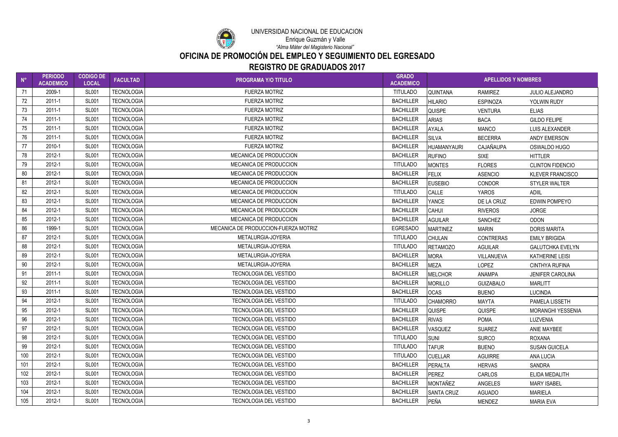

### UNIVERSIDAD NACIONAL DE EDUCACIÓN Enrique Guzmán y Valle

| $N^{\circ}$ | <b>PERIODO</b><br><b>ACADEMICO</b> | <b>CODIGO DE</b><br><b>LOCAL</b> | <b>FACULTAD</b>   | <b>PROGRAMA Y/O TITULO</b>           | <b>GRADO</b><br><b>ACADEMICO</b> | <b>APELLIDOS Y NOMBRES</b> |                  |                          |
|-------------|------------------------------------|----------------------------------|-------------------|--------------------------------------|----------------------------------|----------------------------|------------------|--------------------------|
| -71         | 2009-1                             | <b>SL001</b>                     | <b>TECNOLOGIA</b> | <b>FUERZA MOTRIZ</b>                 | <b>TITULADO</b>                  | <b>QUINTANA</b>            | <b>RAMIREZ</b>   | <b>JULIO ALEJANDRO</b>   |
| 72          | 2011-1                             | <b>SL001</b>                     | <b>TECNOLOGIA</b> | <b>FUERZA MOTRIZ</b>                 | <b>BACHILLER</b>                 | <b>HILARIO</b>             | <b>ESPINOZA</b>  | YOLWIN RUDY              |
| 73          | $2011 - 1$                         | <b>SL001</b>                     | <b>TECNOLOGIA</b> | <b>FUERZA MOTRIZ</b>                 | <b>BACHILLER</b>                 | <b>QUISPE</b>              | <b>VENTURA</b>   | <b>ELIAS</b>             |
| 74          | 2011-1                             | <b>SL001</b>                     | <b>TECNOLOGIA</b> | <b>FUERZA MOTRIZ</b>                 | <b>BACHILLER</b>                 | <b>ARIAS</b>               | <b>BACA</b>      | <b>GILDO FELIPE</b>      |
| 75          | $2011 - 1$                         | <b>SL001</b>                     | <b>TECNOLOGIA</b> | <b>FUERZA MOTRIZ</b>                 | <b>BACHILLER</b>                 | <b>AYALA</b>               | <b>MANCO</b>     | LUIS ALEXANDER           |
| 76          | $2011 - 1$                         | <b>SL001</b>                     | <b>TECNOLOGIA</b> | <b>FUERZA MOTRIZ</b>                 | <b>BACHILLER</b>                 | <b>SILVA</b>               | <b>BECERRA</b>   | <b>ANDY EMERSON</b>      |
| 77          | 2010-1                             | <b>SL001</b>                     | <b>TECNOLOGIA</b> | <b>FUERZA MOTRIZ</b>                 | <b>BACHILLER</b>                 | <b>HUAMANYAURI</b>         | CAJAÑAUPA        | OSWALDO HUGO             |
| 78          | 2012-1                             | <b>SL001</b>                     | <b>TECNOLOGIA</b> | <b>MECANICA DE PRODUCCION</b>        | <b>BACHILLER</b>                 | <b>RUFINO</b>              | <b>SIXE</b>      | <b>HITTLER</b>           |
| 79          | 2012-1                             | <b>SL001</b>                     | <b>TECNOLOGIA</b> | MECANICA DE PRODUCCION               | <b>TITULADO</b>                  | <b>MONTES</b>              | <b>FLORES</b>    | <b>CLINTON FIDENCIO</b>  |
| 80          | 2012-1                             | <b>SL001</b>                     | <b>TECNOLOGIA</b> | MECANICA DE PRODUCCION               | <b>BACHILLER</b>                 | <b>FELIX</b>               | <b>ASENCIO</b>   | <b>KLEVER FRANCISCO</b>  |
| 81          | 2012-1                             | <b>SL001</b>                     | <b>TECNOLOGIA</b> | MECANICA DE PRODUCCION               | <b>BACHILLER</b>                 | <b>EUSEBIO</b>             | <b>CONDOR</b>    | <b>STYLER WALTER</b>     |
| 82          | 2012-1                             | <b>SL001</b>                     | <b>TECNOLOGIA</b> | <b>MECANICA DE PRODUCCION</b>        | <b>TITULADO</b>                  | <b>CALLE</b>               | <b>YAROS</b>     | <b>ADIIL</b>             |
| 83          | 2012-1                             | <b>SL001</b>                     | <b>TECNOLOGIA</b> | MECANICA DE PRODUCCION               | <b>BACHILLER</b>                 | <b>YANCE</b>               | DE LA CRUZ       | <b>EDWIN POMPEYO</b>     |
| 84          | 2012-1                             | <b>SL001</b>                     | <b>TECNOLOGIA</b> | <b>MECANICA DE PRODUCCION</b>        | <b>BACHILLER</b>                 | <b>CAHUI</b>               | <b>RIVEROS</b>   | <b>JORGE</b>             |
| 85          | 2012-1                             | <b>SL001</b>                     | <b>TECNOLOGIA</b> | MECANICA DE PRODUCCION               | <b>BACHILLER</b>                 | <b>AGUILAR</b>             | <b>SANCHEZ</b>   | <b>ODON</b>              |
| 86          | 1999-1                             | <b>SL001</b>                     | <b>TECNOLOGIA</b> | MECANICA DE PRODUCCION-FUERZA MOTRIZ | <b>EGRESADO</b>                  | <b>MARTINEZ</b>            | <b>MARIN</b>     | <b>DORIS MARITA</b>      |
| 87          | 2012-1                             | <b>SL001</b>                     | <b>TECNOLOGIA</b> | METALURGIA-JOYERIA                   | <b>TITULADO</b>                  | <b>CHULAN</b>              | <b>CONTRERAS</b> | <b>EMILY BRIGIDA</b>     |
| 88          | 2012-1                             | <b>SL001</b>                     | <b>TECNOLOGIA</b> | METALURGIA-JOYERIA                   | <b>TITULADO</b>                  | <b>RETAMOZO</b>            | <b>AGUILAR</b>   | <b>GALUTCHKA EVELYN</b>  |
| 89          | 2012-1                             | <b>SL001</b>                     | <b>TECNOLOGIA</b> | METALURGIA-JOYERIA                   | <b>BACHILLER</b>                 | <b>MORA</b>                | VILLANUEVA       | <b>KATHERINE LEISI</b>   |
| 90          | 2012-1                             | <b>SL001</b>                     | <b>TECNOLOGIA</b> | METALURGIA-JOYERIA                   | <b>BACHILLER</b>                 | <b>MEZA</b>                | <b>LOPEZ</b>     | <b>CINTHYA RUFINA</b>    |
| 91          | 2011-1                             | <b>SL001</b>                     | <b>TECNOLOGIA</b> | <b>TECNOLOGIA DEL VESTIDO</b>        | <b>BACHILLER</b>                 | <b>MELCHOR</b>             | <b>ANAMPA</b>    | <b>JENIFER CAROLINA</b>  |
| 92          | 2011-1                             | <b>SL001</b>                     | <b>TECNOLOGIA</b> | TECNOLOGIA DEL VESTIDO               | <b>BACHILLER</b>                 | <b>MORILLO</b>             | <b>GUIZABALO</b> | <b>MARLITT</b>           |
| 93          | 2011-1                             | <b>SL001</b>                     | <b>TECNOLOGIA</b> | <b>TECNOLOGIA DEL VESTIDO</b>        | <b>BACHILLER</b>                 | <b>OCAS</b>                | <b>BUENO</b>     | <b>LUCINDA</b>           |
| 94          | 2012-1                             | <b>SL001</b>                     | <b>TECNOLOGIA</b> | <b>TECNOLOGIA DEL VESTIDO</b>        | <b>TITULADO</b>                  | <b>CHAMORRO</b>            | <b>MAYTA</b>     | PAMELA LISSETH           |
| 95          | 2012-1                             | <b>SL001</b>                     | <b>TECNOLOGIA</b> | TECNOLOGIA DEL VESTIDO               | <b>BACHILLER</b>                 | <b>QUISPE</b>              | <b>QUISPE</b>    | <b>MORANGHI YESSENIA</b> |
| 96          | 2012-1                             | <b>SL001</b>                     | <b>TECNOLOGIA</b> | <b>TECNOLOGIA DEL VESTIDO</b>        | <b>BACHILLER</b>                 | <b>RIVAS</b>               | <b>POMA</b>      | <b>LUZVENIA</b>          |
| 97          | 2012-1                             | <b>SL001</b>                     | <b>TECNOLOGIA</b> | <b>TECNOLOGIA DEL VESTIDO</b>        | <b>BACHILLER</b>                 | <b>VASQUEZ</b>             | <b>SUAREZ</b>    | ANIE MAYBEE              |
| 98          | 2012-1                             | <b>SL001</b>                     | <b>TECNOLOGIA</b> | TECNOLOGIA DEL VESTIDO               | <b>TITULADO</b>                  | <b>SUNI</b>                | <b>SURCO</b>     | ROXANA                   |
| 99          | 2012-1                             | <b>SL001</b>                     | <b>TECNOLOGIA</b> | TECNOLOGIA DEL VESTIDO               | <b>TITULADO</b>                  | <b>TAFUR</b>               | <b>BUENO</b>     | <b>SUSAN GUICELA</b>     |
| 100         | 2012-1                             | <b>SL001</b>                     | <b>TECNOLOGIA</b> | TECNOLOGIA DEL VESTIDO               | <b>TITULADO</b>                  | <b>CUELLAR</b>             | <b>AGUIRRE</b>   | <b>ANA LUCIA</b>         |
| 101         | 2012-1                             | <b>SL001</b>                     | <b>TECNOLOGIA</b> | <b>TECNOLOGIA DEL VESTIDO</b>        | <b>BACHILLER</b>                 | PERALTA                    | <b>HERVAS</b>    | SANDRA                   |
| 102         | 2012-1                             | <b>SL001</b>                     | <b>TECNOLOGIA</b> | <b>TECNOLOGIA DEL VESTIDO</b>        | <b>BACHILLER</b>                 | <b>PEREZ</b>               | <b>CARLOS</b>    | ELIDA MEDALITH           |
| 103         | 2012-1                             | <b>SL001</b>                     | <b>TECNOLOGIA</b> | <b>TECNOLOGIA DEL VESTIDO</b>        | <b>BACHILLER</b>                 | MONTAÑEZ                   | ANGELES          | <b>MARY ISABEL</b>       |
| 104         | 2012-1                             | <b>SL001</b>                     | <b>TECNOLOGIA</b> | <b>TECNOLOGIA DEL VESTIDO</b>        | <b>BACHILLER</b>                 | <b>SANTA CRUZ</b>          | <b>AGUADO</b>    | <b>MARIELA</b>           |
| 105         | 2012-1                             | <b>SL001</b>                     | <b>TECNOLOGIA</b> | TECNOLOGIA DEL VESTIDO               | <b>BACHILLER</b>                 | PEÑA                       | MENDEZ           | <b>MARIA EVA</b>         |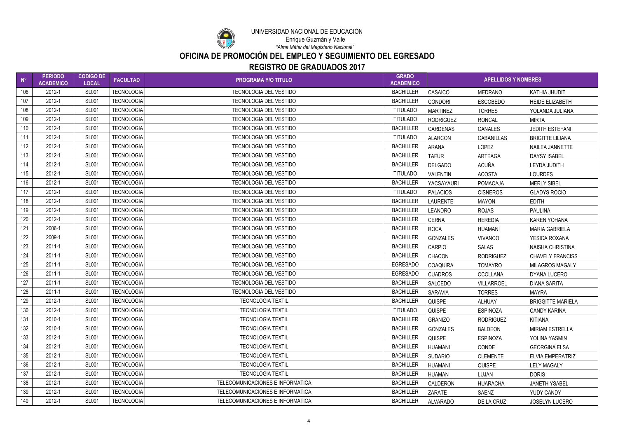

### UNIVERSIDAD NACIONAL DE EDUCACIÓN Enrique Guzmán y Valle

| $N^{\circ}$ | <b>PERIODO</b><br><b>ACADEMICO</b> | <b>CODIGO DE</b><br><b>LOCAL</b> | <b>FACULTAD</b>   | <b>PROGRAMA Y/O TITULO</b>       | <b>GRADO</b><br><b>ACADEMICO</b> | <b>APELLIDOS Y NOMBRES</b> |                   |                          |
|-------------|------------------------------------|----------------------------------|-------------------|----------------------------------|----------------------------------|----------------------------|-------------------|--------------------------|
| 106         | 2012-1                             | <b>SL001</b>                     | <b>TECNOLOGIA</b> | <b>TECNOLOGIA DEL VESTIDO</b>    | <b>BACHILLER</b>                 | <b>CASAICO</b>             | <b>MEDRANO</b>    | KATHIA JHUDIT            |
| 107         | 2012-1                             | <b>SL001</b>                     | <b>TECNOLOGIA</b> | <b>TECNOLOGIA DEL VESTIDO</b>    | <b>BACHILLER</b>                 | <b>CONDORI</b>             | <b>ESCOBEDO</b>   | <b>HEIDE ELIZABETH</b>   |
| 108         | 2012-1                             | <b>SL001</b>                     | <b>TECNOLOGIA</b> | <b>TECNOLOGIA DEL VESTIDO</b>    | <b>TITULADO</b>                  | <b>MARTINEZ</b>            | <b>TORRES</b>     | YOLANDA JULIANA          |
| 109         | 2012-1                             | <b>SL001</b>                     | <b>TECNOLOGIA</b> | TECNOLOGIA DEL VESTIDO           | <b>TITULADO</b>                  | <b>RODRIGUEZ</b>           | <b>RONCAL</b>     | <b>MIRTA</b>             |
| 110         | 2012-1                             | <b>SL001</b>                     | <b>TECNOLOGIA</b> | <b>TECNOLOGIA DEL VESTIDO</b>    | <b>BACHILLER</b>                 | <b>CARDENAS</b>            | <b>CANALES</b>    | <b>JEDITH ESTEFANI</b>   |
| 111         | 2012-1                             | <b>SL001</b>                     | <b>TECNOLOGIA</b> | <b>TECNOLOGIA DEL VESTIDO</b>    | <b>TITULADO</b>                  | <b>ALARCON</b>             | <b>CABANILLAS</b> | <b>BRIGITTE LILIANA</b>  |
| 112         | 2012-1                             | <b>SL001</b>                     | <b>TECNOLOGIA</b> | <b>TECNOLOGIA DEL VESTIDO</b>    | <b>BACHILLER</b>                 | <b>ARANA</b>               | <b>LOPEZ</b>      | NAILEA JANNETTE          |
| 113         | 2012-1                             | <b>SL001</b>                     | <b>TECNOLOGIA</b> | <b>TECNOLOGIA DEL VESTIDO</b>    | <b>BACHILLER</b>                 | <b>TAFUR</b>               | ARTEAGA           | <b>DAYSY ISABEL</b>      |
| 114         | 2012-1                             | <b>SL001</b>                     | <b>TECNOLOGIA</b> | <b>TECNOLOGIA DEL VESTIDO</b>    | <b>BACHILLER</b>                 | DELGADO                    | <b>ACUÑA</b>      | LEYDA JUDITH             |
| 115         | 2012-1                             | <b>SL001</b>                     | <b>TECNOLOGIA</b> | <b>TECNOLOGIA DEL VESTIDO</b>    | <b>TITULADO</b>                  | <b>VALENTIN</b>            | <b>ACOSTA</b>     | <b>LOURDES</b>           |
| 116         | 2012-1                             | <b>SL001</b>                     | <b>TECNOLOGIA</b> | <b>TECNOLOGIA DEL VESTIDO</b>    | <b>BACHILLER</b>                 | YACSAYAURI                 | <b>POMACAJA</b>   | <b>MERLY SIBEL</b>       |
| 117         | 2012-1                             | <b>SL001</b>                     | <b>TECNOLOGIA</b> | <b>TECNOLOGIA DEL VESTIDO</b>    | <b>TITULADO</b>                  | <b>PALACIOS</b>            | <b>CISNEROS</b>   | <b>GLADYS ROCIO</b>      |
| 118         | 2012-1                             | <b>SL001</b>                     | <b>TECNOLOGIA</b> | <b>TECNOLOGIA DEL VESTIDO</b>    | <b>BACHILLER</b>                 | <b>LAURENTE</b>            | <b>MAYON</b>      | <b>EDITH</b>             |
| 119         | 2012-1                             | <b>SL001</b>                     | <b>TECNOLOGIA</b> | <b>TECNOLOGIA DEL VESTIDO</b>    | <b>BACHILLER</b>                 | <b>LEANDRO</b>             | <b>ROJAS</b>      | <b>PAULINA</b>           |
| 120         | 2012-1                             | <b>SL001</b>                     | <b>TECNOLOGIA</b> | <b>TECNOLOGIA DEL VESTIDO</b>    | <b>BACHILLER</b>                 | <b>CERNA</b>               | <b>HEREDIA</b>    | <b>KAREN YOHANA</b>      |
| 121         | 2006-1                             | <b>SL001</b>                     | <b>TECNOLOGIA</b> | TECNOLOGIA DEL VESTIDO           | <b>BACHILLER</b>                 | <b>ROCA</b>                | <b>HUAMANI</b>    | <b>MARIA GABRIELA</b>    |
| 122         | 2009-1                             | <b>SL001</b>                     | <b>TECNOLOGIA</b> | TECNOLOGIA DEL VESTIDO           | <b>BACHILLER</b>                 | <b>GONZALES</b>            | <b>VIVANCO</b>    | YESICA ROXANA            |
| 123         | $2011 - 1$                         | <b>SL001</b>                     | <b>TECNOLOGIA</b> | <b>TECNOLOGIA DEL VESTIDO</b>    | <b>BACHILLER</b>                 | <b>CARPIO</b>              | <b>SALAS</b>      | <b>NAISHA CHRISTINA</b>  |
| 124         | 2011-1                             | <b>SL001</b>                     | <b>TECNOLOGIA</b> | <b>TECNOLOGIA DEL VESTIDO</b>    | <b>BACHILLER</b>                 | <b>CHACON</b>              | <b>RODRIGUEZ</b>  | <b>CHAVELY FRANCISS</b>  |
| 125         | 2011-1                             | <b>SL001</b>                     | <b>TECNOLOGIA</b> | <b>TECNOLOGIA DEL VESTIDO</b>    | <b>EGRESADO</b>                  | COAQUIRA                   | <b>TOMAYRO</b>    | <b>MILAGROS MAGALY</b>   |
| 126         | 2011-1                             | <b>SL001</b>                     | <b>TECNOLOGIA</b> | <b>TECNOLOGIA DEL VESTIDO</b>    | <b>EGRESADO</b>                  | <b>CUADROS</b>             | <b>CCOLLANA</b>   | DYANA LUCERO             |
| 127         | 2011-1                             | <b>SL001</b>                     | <b>TECNOLOGIA</b> | <b>TECNOLOGIA DEL VESTIDO</b>    | <b>BACHILLER</b>                 | <b>SALCEDO</b>             | <b>VILLARROEL</b> | <b>DIANA SARITA</b>      |
| 128         | 2011-1                             | <b>SL001</b>                     | <b>TECNOLOGIA</b> | <b>TECNOLOGIA DEL VESTIDO</b>    | <b>BACHILLER</b>                 | SARAVIA                    | <b>TORRES</b>     | <b>MAYRA</b>             |
| 129         | 2012-1                             | <b>SL001</b>                     | <b>TECNOLOGIA</b> | <b>TECNOLOGIA TEXTIL</b>         | <b>BACHILLER</b>                 | <b>QUISPE</b>              | <b>ALHUAY</b>     | <b>BRIGGITTE MARIELA</b> |
| 130         | 2012-1                             | <b>SL001</b>                     | <b>TECNOLOGIA</b> | <b>TECNOLOGIA TEXTIL</b>         | <b>TITULADO</b>                  | <b>QUISPE</b>              | <b>ESPINOZA</b>   | <b>CANDY KARINA</b>      |
| 131         | 2010-1                             | <b>SL001</b>                     | <b>TECNOLOGIA</b> | <b>TECNOLOGIA TEXTIL</b>         | <b>BACHILLER</b>                 | <b>GRANIZO</b>             | <b>RODRIGUEZ</b>  | <b>KITIANA</b>           |
| 132         | 2010-1                             | <b>SL001</b>                     | <b>TECNOLOGIA</b> | <b>TECNOLOGIA TEXTIL</b>         | <b>BACHILLER</b>                 | <b>GONZALES</b>            | <b>BALDEON</b>    | <b>MIRIAM ESTRELLA</b>   |
| 133         | 2012-1                             | <b>SL001</b>                     | <b>TECNOLOGIA</b> | <b>TECNOLOGIA TEXTIL</b>         | <b>BACHILLER</b>                 | <b>QUISPE</b>              | <b>ESPINOZA</b>   | YOLINA YASMIN            |
| 134         | 2012-1                             | <b>SL001</b>                     | <b>TECNOLOGIA</b> | <b>TECNOLOGIA TEXTIL</b>         | <b>BACHILLER</b>                 | <b>HUAMANI</b>             | CONDE             | <b>GEORGINA ELSA</b>     |
| 135         | 2012-1                             | <b>SL001</b>                     | <b>TECNOLOGIA</b> | <b>TECNOLOGIA TEXTIL</b>         | <b>BACHILLER</b>                 | <b>SUDARIO</b>             | <b>CLEMENTE</b>   | <b>ELVIA EMPERATRIZ</b>  |
| 136         | 2012-1                             | <b>SL001</b>                     | <b>TECNOLOGIA</b> | <b>TECNOLOGIA TEXTIL</b>         | <b>BACHILLER</b>                 | HUAMANI                    | <b>QUISPE</b>     | <b>LELY MAGALY</b>       |
| 137         | 2012-1                             | <b>SL001</b>                     | <b>TECNOLOGIA</b> | <b>TECNOLOGIA TEXTIL</b>         | <b>BACHILLER</b>                 | <b>HUAMAN</b>              | <b>LUJAN</b>      | <b>DORIS</b>             |
| 138         | 2012-1                             | <b>SL001</b>                     | <b>TECNOLOGIA</b> | TELECOMUNICACIONES E INFORMATICA | <b>BACHILLER</b>                 | CALDERON                   | <b>HUARACHA</b>   | <b>JANETH YSABEL</b>     |
| 139         | 2012-1                             | <b>SL001</b>                     | <b>TECNOLOGIA</b> | TELECOMUNICACIONES E INFORMATICA | <b>BACHILLER</b>                 | <b>ZARATE</b>              | SAENZ             | YUDY CANDY               |
| 140         | 2012-1                             | <b>SL001</b>                     | <b>TECNOLOGIA</b> | TELECOMUNICACIONES E INFORMATICA | <b>BACHILLER</b>                 | <b>ALVARADO</b>            | DE LA CRUZ        | <b>JOSELYN LUCERO</b>    |